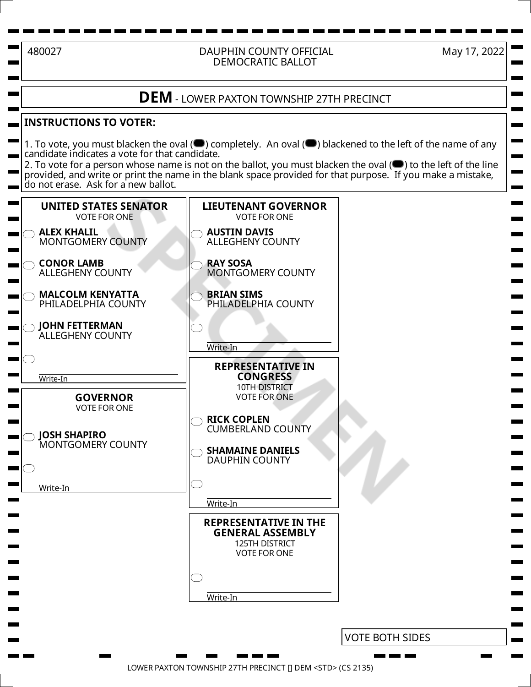## 480027 DAUPHIN COUNTY OFFICIAL DEMOCRATIC BALLOT

May 17, 2022

## **DEM** - LOWER PAXTON TOWNSHIP 27TH PRECINCT

## **INSTRUCTIONS TO VOTER:**

1. To vote, you must blacken the oval  $(\blacksquare)$  completely. An oval  $(\blacksquare)$  blackened to the left of the name of any candidate indicates a vote for that candidate.

2. To vote for a person whose name is not on the ballot, you must blacken the oval ( $\bullet$ ) to the left of the line provided, and write or print the name in the blank space provided for that purpose. If you make a mistake, do not erase. Ask for a new ballot.



VOTE BOTH SIDES